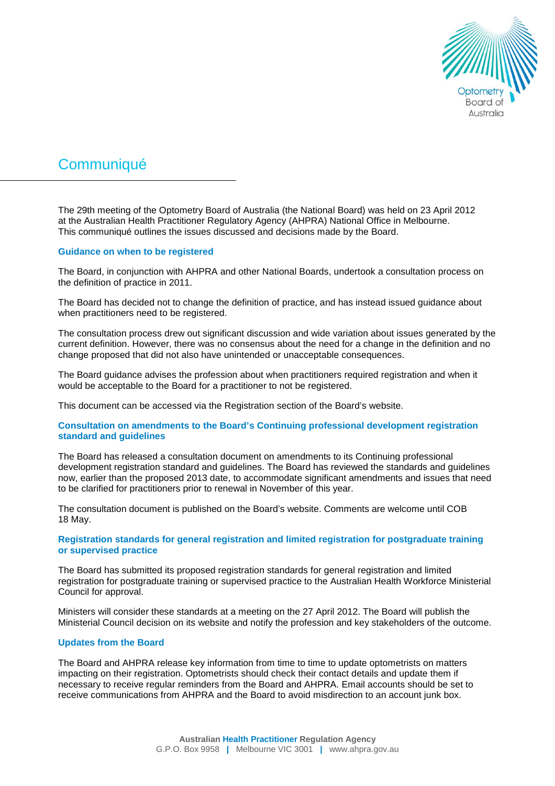

# **Communiqué**

The 29th meeting of the Optometry Board of Australia (the National Board) was held on 23 April 2012 at the Australian Health Practitioner Regulatory Agency (AHPRA) National Office in Melbourne. This communiqué outlines the issues discussed and decisions made by the Board.

## **Guidance on when to be registered**

The Board, in conjunction with AHPRA and other National Boards, undertook a consultation process on the definition of practice in 2011.

The Board has decided not to change the definition of practice, and has instead issued guidance about when practitioners need to be registered.

The consultation process drew out significant discussion and wide variation about issues generated by the current definition. However, there was no consensus about the need for a change in the definition and no change proposed that did not also have unintended or unacceptable consequences.

The Board guidance advises the profession about when practitioners required registration and when it would be acceptable to the Board for a practitioner to not be registered.

This document can be accessed via the Registration section of the Board's website.

## **Consultation on amendments to the Board's Continuing professional development registration standard and guidelines**

The Board has released a consultation document on amendments to its Continuing professional development registration standard and guidelines. The Board has reviewed the standards and guidelines now, earlier than the proposed 2013 date, to accommodate significant amendments and issues that need to be clarified for practitioners prior to renewal in November of this year.

The consultation document is published on the Board's website. Comments are welcome until COB 18 May.

# **Registration standards for general registration and limited registration for postgraduate training or supervised practice**

The Board has submitted its proposed registration standards for general registration and limited registration for postgraduate training or supervised practice to the Australian Health Workforce Ministerial Council for approval.

Ministers will consider these standards at a meeting on the 27 April 2012. The Board will publish the Ministerial Council decision on its website and notify the profession and key stakeholders of the outcome.

## **Updates from the Board**

The Board and AHPRA release key information from time to time to update optometrists on matters impacting on their registration. Optometrists should check their contact details and update them if necessary to receive regular reminders from the Board and AHPRA. Email accounts should be set to receive communications from AHPRA and the Board to avoid misdirection to an account junk box.